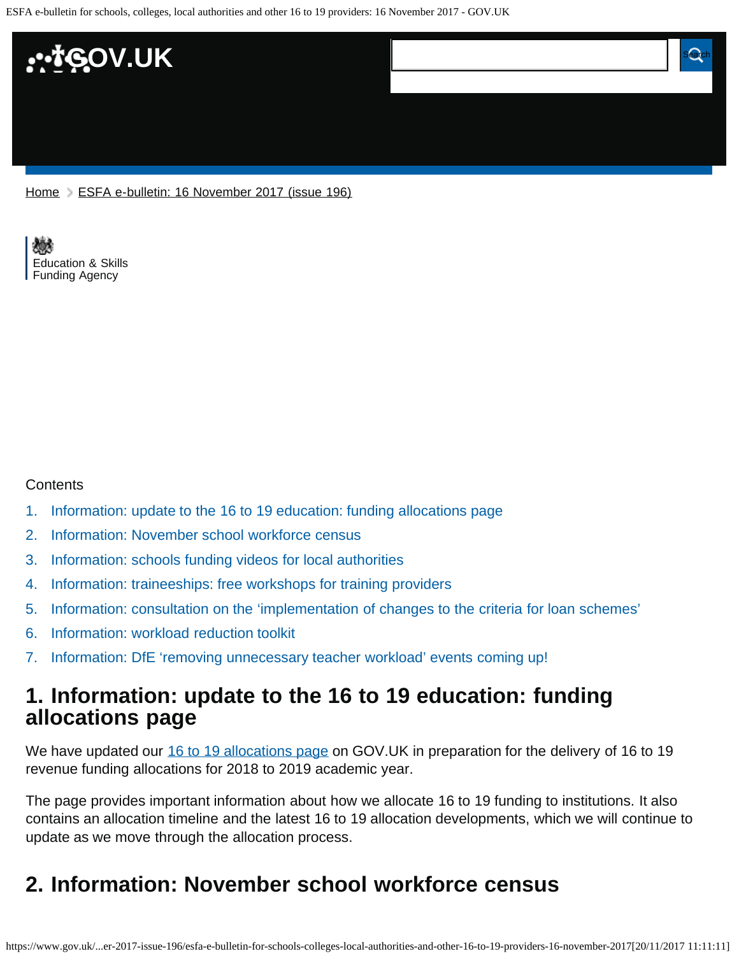ESFA e-bulletin for schools, colleges, local authorities and other 16 to 19 providers: 16 November 2017 - GOV.UK



[Home](https://www.gov.uk/) > [ESFA e-bulletin: 16 November 2017 \(issue 196\)](https://www.gov.uk/government/publications/esfa-e-bulletin-16-november-2017-issue-196)

[Education & Skills](https://www.gov.uk/government/organisations/education-and-skills-funding-agency)  [Funding Agency](https://www.gov.uk/government/organisations/education-and-skills-funding-agency)

#### **Contents**

- [1.](#page-0-0) [Information: update to the 16 to 19 education: funding allocations page](#page-0-0)
- [2.](#page-0-1) [Information: November school workforce census](#page-0-1)
- [3.](#page-1-0) [Information: schools funding videos for local authorities](#page-1-0)
- [4.](#page-1-1) [Information: traineeships: free workshops for training providers](#page-1-1)
- [5.](#page-2-0) [Information: consultation on the 'implementation of changes to the criteria for loan schemes'](#page-2-0)
- [6.](#page-2-1) [Information: workload reduction toolkit](#page-2-1)
- [7.](#page-2-2) [Information: DfE 'removing unnecessary teacher workload' events coming up!](#page-2-2)

### <span id="page-0-0"></span>**1. Information: update to the 16 to 19 education: funding allocations page**

We have updated our [16 to 19 allocations page](https://www.gov.uk/guidance/16-to-19-education-funding-allocations) on GOV.UK in preparation for the delivery of 16 to 19 revenue funding allocations for 2018 to 2019 academic year.

The page provides important information about how we allocate 16 to 19 funding to institutions. It also contains an allocation timeline and the latest 16 to 19 allocation developments, which we will continue to update as we move through the allocation process.

### <span id="page-0-1"></span>**2. Information: November school workforce census**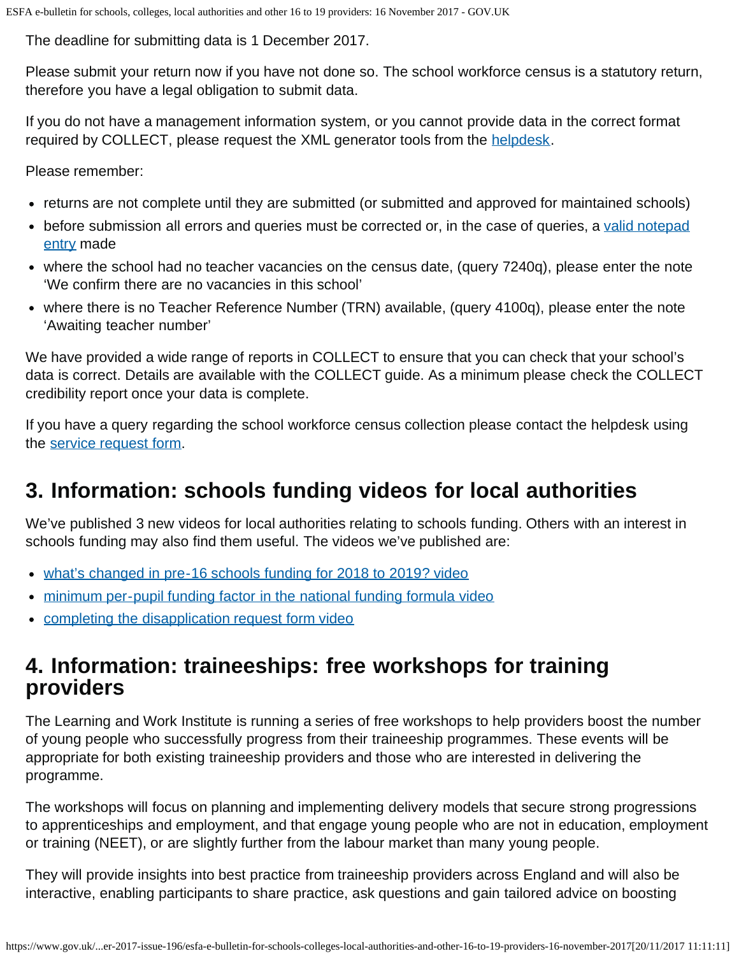The deadline for submitting data is 1 December 2017.

Please submit your return now if you have not done so. The school workforce census is a statutory return, therefore you have a legal obligation to submit data.

If you do not have a management information system, or you cannot provide data in the correct format required by COLLECT, please request the XML generator tools from the [helpdesk.](https://www.education.gov.uk/researchandstatistics/stats/requestform)

Please remember:

- returns are not complete until they are submitted (or submitted and approved for maintained schools)
- before submission all errors and queries must be corrected or, in the case of queries, a [valid notepad](https://www.gov.uk/government/publications/school-workforce-census-2017-notepad-entries-for-collect-queries) [entry](https://www.gov.uk/government/publications/school-workforce-census-2017-notepad-entries-for-collect-queries) made
- where the school had no teacher vacancies on the census date, (query 7240q), please enter the note 'We confirm there are no vacancies in this school'
- where there is no Teacher Reference Number (TRN) available, (query 4100q), please enter the note 'Awaiting teacher number'

We have provided a wide range of reports in COLLECT to ensure that you can check that your school's data is correct. Details are available with the COLLECT guide. As a minimum please check the COLLECT credibility report once your data is complete.

If you have a query regarding the school workforce census collection please contact the helpdesk using the [service request form.](https://www.education.gov.uk/researchandstatistics/stats/requestform)

# <span id="page-1-0"></span>**3. Information: schools funding videos for local authorities**

We've published 3 new videos for local authorities relating to schools funding. Others with an interest in schools funding may also find them useful. The videos we've published are:

- [what's changed in pre-16 schools funding for 2018 to 2019? video](https://www.youtube.com/channel/UCROOCs9OvIwqFOy5_E0Jtfg)
- [minimum per-pupil funding factor in the national funding formula video](https://www.youtube.com/channel/UCROOCs9OvIwqFOy5_E0Jtfg)
- [completing the disapplication request form video](https://www.youtube.com/channel/UCROOCs9OvIwqFOy5_E0Jtfg)

# <span id="page-1-1"></span>**4. Information: traineeships: free workshops for training providers**

The Learning and Work Institute is running a series of free workshops to help providers boost the number of young people who successfully progress from their traineeship programmes. These events will be appropriate for both existing traineeship providers and those who are interested in delivering the programme.

The workshops will focus on planning and implementing delivery models that secure strong progressions to apprenticeships and employment, and that engage young people who are not in education, employment or training (NEET), or are slightly further from the labour market than many young people.

They will provide insights into best practice from traineeship providers across England and will also be interactive, enabling participants to share practice, ask questions and gain tailored advice on boosting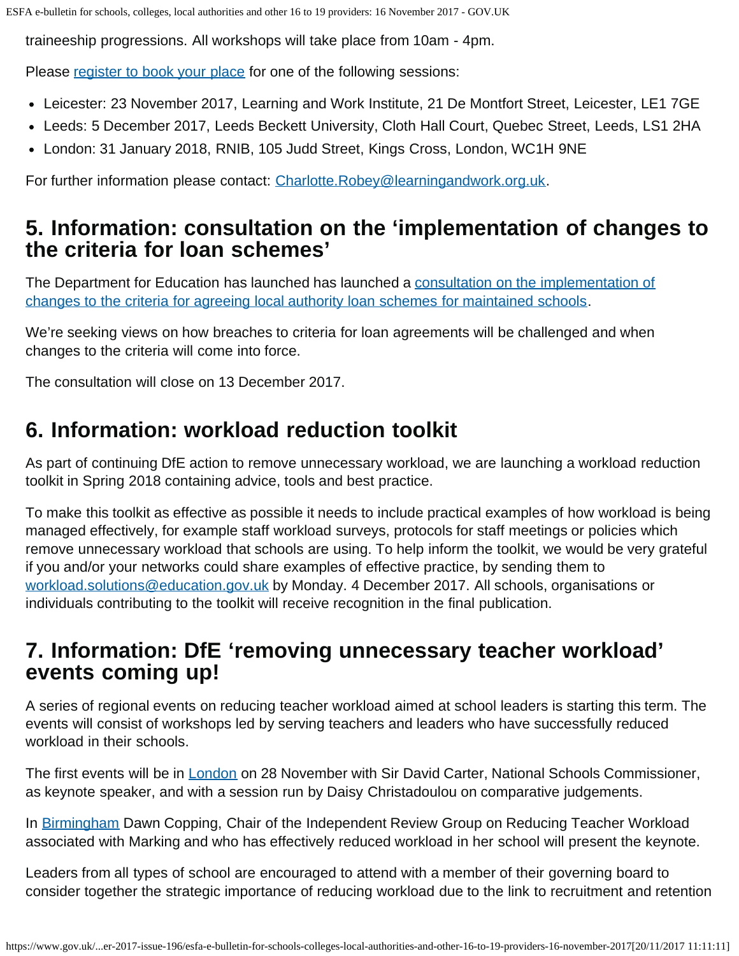traineeship progressions. All workshops will take place from 10am - 4pm.

Please [register to book your place](https://www.eventbrite.co.uk/e/improving-traineeship-progression-including-those-not-in-education-employment-or-training-neet-tickets-36547225736) for one of the following sessions:

- Leicester: 23 November 2017, Learning and Work Institute, 21 De Montfort Street, Leicester, LE1 7GE
- Leeds: 5 December 2017, Leeds Beckett University, Cloth Hall Court, Quebec Street, Leeds, LS1 2HA
- London: 31 January 2018, RNIB, 105 Judd Street, Kings Cross, London, WC1H 9NE

For further information please contact: [Charlotte.Robey@learningandwork.org.uk](mailto:Charlotte.Robey@learningandwork.org.uk).

# <span id="page-2-0"></span>**5. Information: consultation on the 'implementation of changes to the criteria for loan schemes'**

The Department for Education has launched has launched a [consultation on the implementation of](https://www.gov.uk/government/consultations/school-loan-schemes-implementation-of-changes) [changes to the criteria for agreeing local authority loan schemes for maintained schools](https://www.gov.uk/government/consultations/school-loan-schemes-implementation-of-changes).

We're seeking views on how breaches to criteria for loan agreements will be challenged and when changes to the criteria will come into force.

The consultation will close on 13 December 2017.

# <span id="page-2-1"></span>**6. Information: workload reduction toolkit**

As part of continuing DfE action to remove unnecessary workload, we are launching a workload reduction toolkit in Spring 2018 containing advice, tools and best practice.

To make this toolkit as effective as possible it needs to include practical examples of how workload is being managed effectively, for example staff workload surveys, protocols for staff meetings or policies which remove unnecessary workload that schools are using. To help inform the toolkit, we would be very grateful if you and/or your networks could share examples of effective practice, by sending them to [workload.solutions@education.gov.uk](mailto:workload.solutions@education.gov.uk) by Monday. 4 December 2017. All schools, organisations or individuals contributing to the toolkit will receive recognition in the final publication.

# <span id="page-2-2"></span>**7. Information: DfE 'removing unnecessary teacher workload' events coming up!**

A series of regional events on reducing teacher workload aimed at school leaders is starting this term. The events will consist of workshops led by serving teachers and leaders who have successfully reduced workload in their schools.

The first events will be in [London](https://www.eventbrite.co.uk/e/removing-unnecessary-teacher-workload-london-event-tickets-39448938838) on 28 November with Sir David Carter, National Schools Commissioner, as keynote speaker, and with a session run by Daisy Christadoulou on comparative judgements.

In [Birmingham](https://www.eventbrite.co.uk/e/removing-unnecessary-teacher-workload-birmingham-event-tickets-39477499263) Dawn Copping, Chair of the Independent Review Group on Reducing Teacher Workload associated with Marking and who has effectively reduced workload in her school will present the keynote.

Leaders from all types of school are encouraged to attend with a member of their governing board to consider together the strategic importance of reducing workload due to the link to recruitment and retention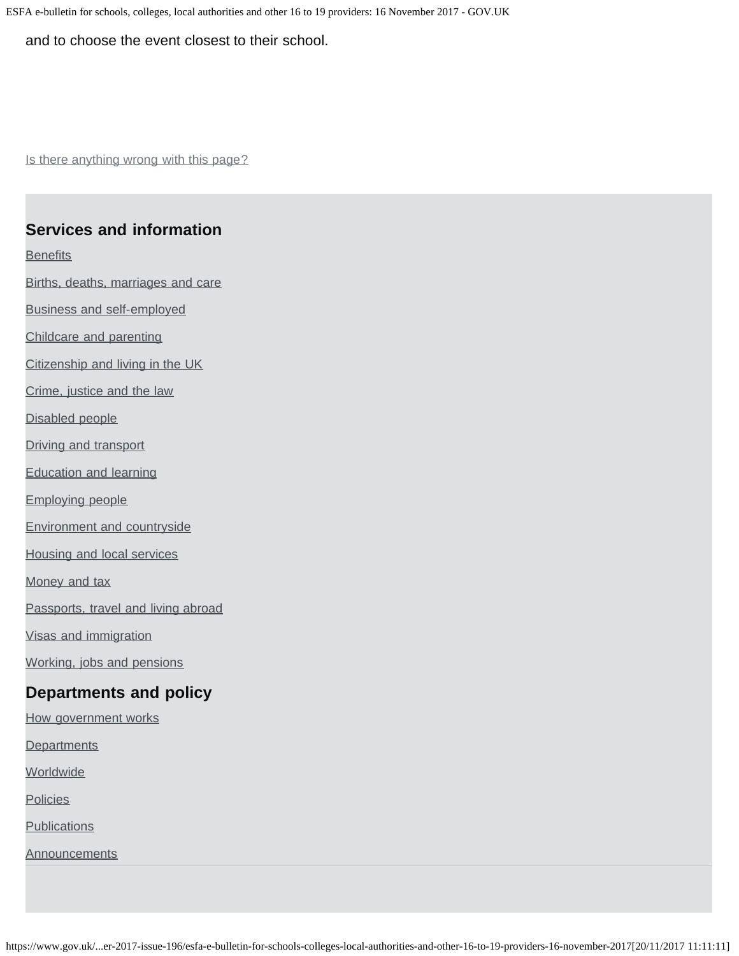ESFA e-bulletin for schools, colleges, local authorities and other 16 to 19 providers: 16 November 2017 - GOV.UK

and to choose the event closest to their school.

Is there anything wrong with this page?

#### **Services and information**

**[Benefits](https://www.gov.uk/browse/benefits)** 

[Births, deaths, marriages and care](https://www.gov.uk/browse/births-deaths-marriages)

[Business and self-employed](https://www.gov.uk/browse/business)

[Childcare and parenting](https://www.gov.uk/browse/childcare-parenting)

[Citizenship and living in the UK](https://www.gov.uk/browse/citizenship)

[Crime, justice and the law](https://www.gov.uk/browse/justice)

[Disabled people](https://www.gov.uk/browse/disabilities)

[Driving and transport](https://www.gov.uk/browse/driving)

[Education and learning](https://www.gov.uk/browse/education)

[Employing people](https://www.gov.uk/browse/employing-people)

[Environment and countryside](https://www.gov.uk/browse/environment-countryside)

[Housing and local services](https://www.gov.uk/browse/housing-local-services)

[Money and tax](https://www.gov.uk/browse/tax)

[Passports, travel and living abroad](https://www.gov.uk/browse/abroad)

[Visas and immigration](https://www.gov.uk/browse/visas-immigration)

[Working, jobs and pensions](https://www.gov.uk/browse/working)

### **Departments and policy**

[How government works](https://www.gov.uk/government/how-government-works)

**[Departments](https://www.gov.uk/government/organisations)** 

**[Worldwide](https://www.gov.uk/world)** 

**[Policies](https://www.gov.uk/government/policies)** 

**[Publications](https://www.gov.uk/government/publications)** 

**[Announcements](https://www.gov.uk/government/announcements)**